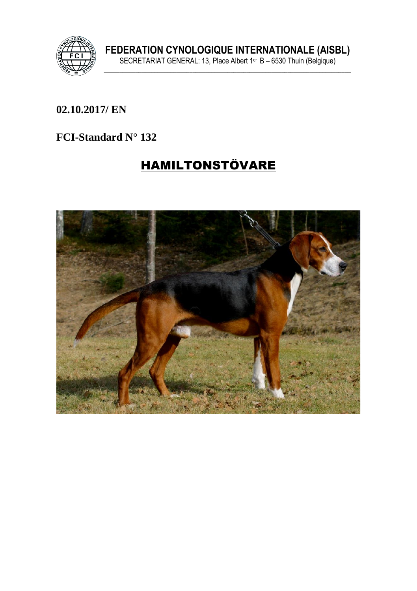

FEDERATION CYNOLOGIQUE INTERNATIONALE (AISBL)<br>SECRETARIAT GENERAL: 13, Place Albert 1<sup>er</sup> B – 6530 Thuin (Belgique)

### 02.10.2017/ EN

### FCI-Standard N° 132

# **HAMILTONSTÖVARE**

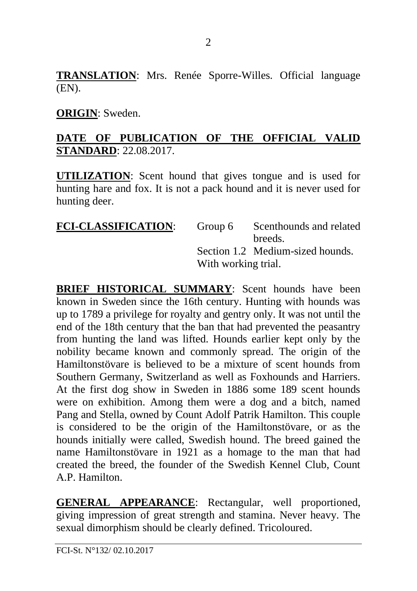**TRANSLATION**: Mrs. Renée Sporre-Willes. Official language (EN).

#### **ORIGIN**: Sweden.

### **DATE OF PUBLICATION OF THE OFFICIAL VALID STANDARD**: 22.08.2017.

**UTILIZATION**: Scent hound that gives tongue and is used for hunting hare and fox. It is not a pack hound and it is never used for hunting deer.

| <b>FCI-CLASSIFICATION:</b> |                     | Group 6 Scenthounds and related  |
|----------------------------|---------------------|----------------------------------|
|                            |                     | breeds.                          |
|                            |                     | Section 1.2 Medium-sized hounds. |
|                            | With working trial. |                                  |

**BRIEF HISTORICAL SUMMARY:** Scent hounds have been known in Sweden since the 16th century. Hunting with hounds was up to 1789 a privilege for royalty and gentry only. It was not until the end of the 18th century that the ban that had prevented the peasantry from hunting the land was lifted. Hounds earlier kept only by the nobility became known and commonly spread. The origin of the Hamiltonstövare is believed to be a mixture of scent hounds from Southern Germany, Switzerland as well as Foxhounds and Harriers. At the first dog show in Sweden in 1886 some 189 scent hounds were on exhibition. Among them were a dog and a bitch, named Pang and Stella, owned by Count Adolf Patrik Hamilton. This couple is considered to be the origin of the Hamiltonstövare, or as the hounds initially were called, Swedish hound. The breed gained the name Hamiltonstövare in 1921 as a homage to the man that had created the breed, the founder of the Swedish Kennel Club, Count A.P. Hamilton.

**GENERAL APPEARANCE**: Rectangular, well proportioned, giving impression of great strength and stamina. Never heavy. The sexual dimorphism should be clearly defined. Tricoloured.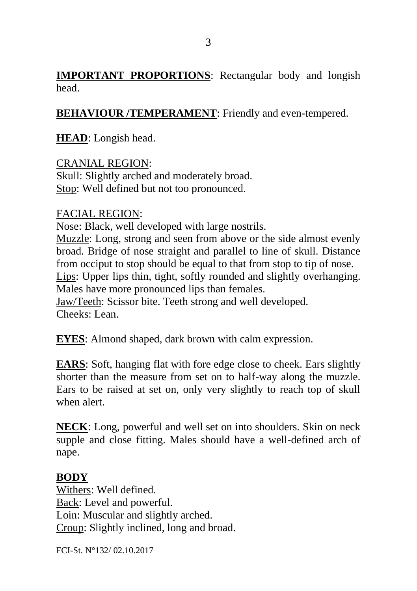**IMPORTANT PROPORTIONS**: Rectangular body and longish head.

**BEHAVIOUR /TEMPERAMENT**: Friendly and even-tempered.

**HEAD**: Longish head.

CRANIAL REGION: Skull: Slightly arched and moderately broad. Stop: Well defined but not too pronounced.

### FACIAL REGION:

Nose: Black, well developed with large nostrils. Muzzle: Long, strong and seen from above or the side almost evenly broad. Bridge of nose straight and parallel to line of skull. Distance from occiput to stop should be equal to that from stop to tip of nose. Lips: Upper lips thin, tight, softly rounded and slightly overhanging. Males have more pronounced lips than females. Jaw/Teeth: Scissor bite. Teeth strong and well developed. Cheeks: Lean.

**EYES**: Almond shaped, dark brown with calm expression.

**EARS**: Soft, hanging flat with fore edge close to cheek. Ears slightly shorter than the measure from set on to half-way along the muzzle. Ears to be raised at set on, only very slightly to reach top of skull when alert.

**NECK**: Long, powerful and well set on into shoulders. Skin on neck supple and close fitting. Males should have a well-defined arch of nape.

### **BODY**

Withers: Well defined. Back: Level and powerful. Loin: Muscular and slightly arched. Croup: Slightly inclined, long and broad.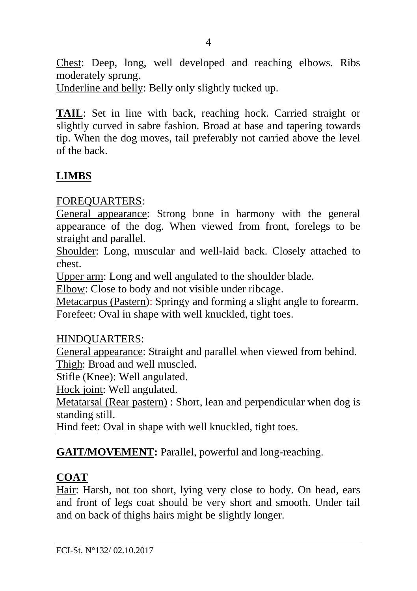Chest: Deep, long, well developed and reaching elbows. Ribs moderately sprung.

Underline and belly: Belly only slightly tucked up.

**TAIL**: Set in line with back, reaching hock. Carried straight or slightly curved in sabre fashion. Broad at base and tapering towards tip. When the dog moves, tail preferably not carried above the level of the back.

# **LIMBS**

### FOREQUARTERS:

General appearance: Strong bone in harmony with the general appearance of the dog. When viewed from front, forelegs to be straight and parallel.

Shoulder: Long, muscular and well-laid back. Closely attached to chest.

Upper arm: Long and well angulated to the shoulder blade.

Elbow: Close to body and not visible under ribcage.

Metacarpus (Pastern): Springy and forming a slight angle to forearm. Forefeet: Oval in shape with well knuckled, tight toes.

### HINDQUARTERS:

General appearance: Straight and parallel when viewed from behind. Thigh: Broad and well muscled.

Stifle (Knee): Well angulated.

Hock joint: Well angulated.

Metatarsal (Rear pastern) : Short, lean and perpendicular when dog is standing still.

Hind feet: Oval in shape with well knuckled, tight toes.

**GAIT/MOVEMENT:** Parallel, powerful and long-reaching.

# **COAT**

Hair: Harsh, not too short, lying very close to body. On head, ears and front of legs coat should be very short and smooth. Under tail and on back of thighs hairs might be slightly longer.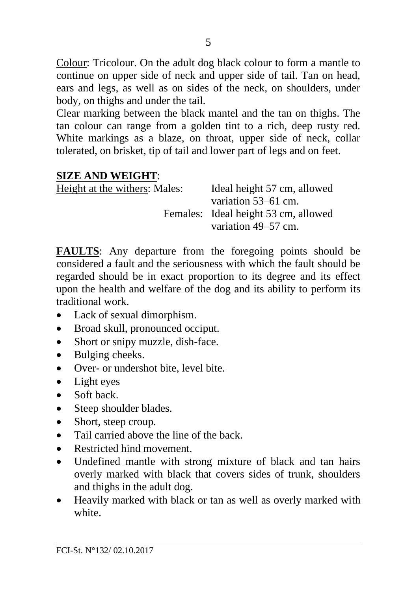Colour: Tricolour. On the adult dog black colour to form a mantle to continue on upper side of neck and upper side of tail. Tan on head, ears and legs, as well as on sides of the neck, on shoulders, under body, on thighs and under the tail.

Clear marking between the black mantel and the tan on thighs. The tan colour can range from a golden tint to a rich, deep rusty red. White markings as a blaze, on throat, upper side of neck, collar tolerated, on brisket, tip of tail and lower part of legs and on feet.

#### **SIZE AND WEIGHT**:

| Height at the withers: Males: | Ideal height 57 cm, allowed          |
|-------------------------------|--------------------------------------|
|                               | variation 53–61 cm.                  |
|                               | Females: Ideal height 53 cm, allowed |
|                               | variation 49–57 cm.                  |

**FAULTS**: Any departure from the foregoing points should be considered a fault and the seriousness with which the fault should be regarded should be in exact proportion to its degree and its effect upon the health and welfare of the dog and its ability to perform its traditional work.

- Lack of sexual dimorphism.
- Broad skull, pronounced occiput.
- Short or snipy muzzle, dish-face.
- Bulging cheeks.
- Over- or undershot bite, level bite.
- Light eyes
- Soft back
- Steep shoulder blades.
- Short, steep croup.
- Tail carried above the line of the back.
- Restricted hind movement
- Undefined mantle with strong mixture of black and tan hairs overly marked with black that covers sides of trunk, shoulders and thighs in the adult dog.
- Heavily marked with black or tan as well as overly marked with white.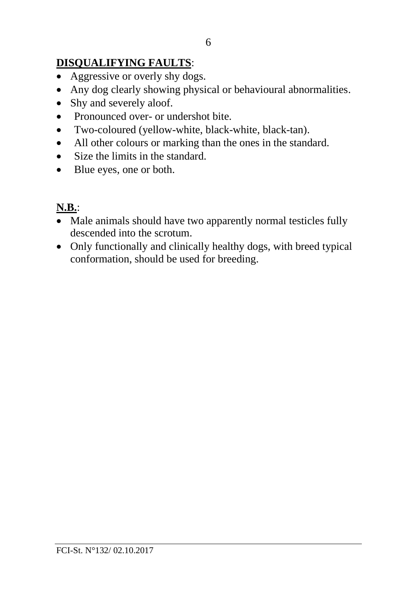# **DISQUALIFYING FAULTS**:

- Aggressive or overly shy dogs.
- Any dog clearly showing physical or behavioural abnormalities.
- Shy and severely aloof.
- Pronounced over- or undershot bite.
- Two-coloured (yellow-white, black-white, black-tan).
- All other colours or marking than the ones in the standard.
- Size the limits in the standard.
- Blue eyes, one or both.

### **N.B.**:

- Male animals should have two apparently normal testicles fully descended into the scrotum.
- Only functionally and clinically healthy dogs, with breed typical conformation, should be used for breeding.